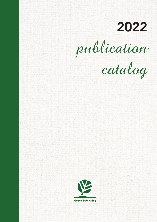# 2022

publication



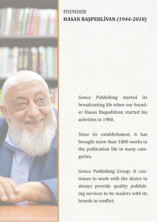

## FOUNDER **HASAN BAŞPEHLİVAN** *(1944-2010)*

Gonca Publishing started its broadcasting life when our founder Hasan Başpehlivan started his activities in 1980.

Since its establishment, it has brought more than 1000 works to the publication life in many categories.

Gonca Publishing Group; It continues to work with the desire to always provide quality publishing services to its readers with its brands in conflict.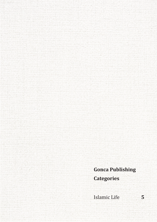**Gonca Publishing Categories**

Islamic Life **5**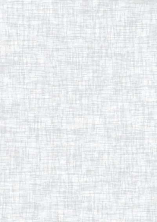瞶 ten der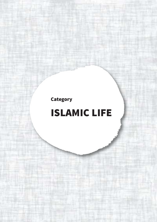## Category

# ISLAMIC LIFE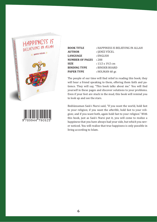



| <b>BOOK TITLE</b>      | : HAPPINESS IS BELIEVING IN ALLAH |
|------------------------|-----------------------------------|
| <b>AUTHOR</b>          | : SENİZ YÜCEL                     |
| LANGUAGE               | : ENGLISH                         |
| <b>NUMBER OF PAGES</b> | : 288                             |
| SIZE                   | : $13,5 \times 19,5 \text{ cm}$   |
| <b>BINDING TYPE</b>    | : BINDER BOARD                    |
| <b>PAPER TYPE</b>      | : HOLMAN 60 gr.                   |
|                        |                                   |

The people of our time will find relief in reading this book; they will hear a friend speaking to them, offering them faith and patience. They will say, "This book talks about me." You will find yourself in these pages and discover solutions to your problems. Even if your feet are stuck in the mud, this book will remind you to look up and see the stars.

Bediüzzaman Said-i Nursi said, "If you want the world, hold fast to your religion; if you want the afterlife, hold fast to your religion; and if you want both, again hold fast to your religion." With this book, just as Said-i Nursi put it, you will come to realize a happiness that you have always had your side, but which you never noticed. You will realize that true happiness is only possible in living according to Islam.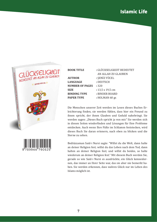### Islamic Life





| <b>BOOK TITLE</b>      | : GLÜCKSELIGKEIT BEDEUTET<br>AN ALLAH ZU GLAUBEN |
|------------------------|--------------------------------------------------|
| <b>AUTHOR</b>          | : ŞENİZ YÜCEL                                    |
| <b>LANGUAGE</b>        | : DEUTSCH                                        |
| <b>NUMBER OF PAGES</b> | : 320                                            |
| <b>SIZE</b>            | $: 13, 5 \times 19, 5 \text{ cm}$                |
| <b>BINDING TYPE</b>    | : BINDER BOARD                                   |
| <b>PAPER TYPE</b>      | : HOLMAN 60 gr.                                  |

Die Menschen unserer Zeit werden im Lesen dieses Buches Erleichterung finden, sie werden fühlen, dass hier ein Freund zu ihnen spricht, der ihnen Glauben und Geduld nahebringt. Sie werden sagen: "Dieses Buch spricht ja von mir." Sie werden sich in diesen Seiten wiederfinden und Lösungen für Ihre Probleme entdecken. Auch wenn Ihre Füße im Schlamm feststecken, wird dieses Buch Sie daran erinnern, nach oben zu blicken und die Sterne zu sehen.

Bediüzzaman Said-i Nursi sagte: "Willst du die Welt, dann halte an deiner Religion fest; willst du das Leben nach dem Tod, dann halten an deiner Religion fest; und willst du beides, so halte wiederum an deiner Religion fest." Mit diesem Buch werden Sie, gerade so wie Said-i Nursi es ausdrückte, ein Glück kennenlernen, das immer an Ihrer Seite war, das sie aber nie bemerkt haben. Sie werden erkennen, dass wahres Glück nur im Leben des Islams möglich ist.